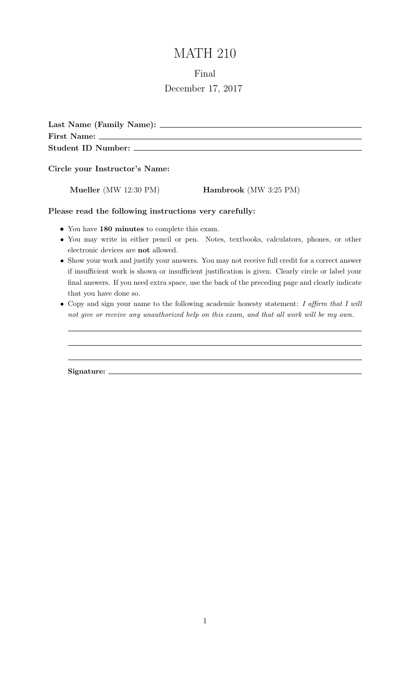# MATH 210

### Final

# December 17, 2017

| Last Name (Family Name):  |
|---------------------------|
| <b>First Name:</b>        |
| <b>Student ID Number:</b> |

Circle your Instructor's Name:

Mueller (MW 12:30 PM) Hambrook (MW 3:25 PM)

Please read the following instructions very carefully:

- You have 180 minutes to complete this exam.
- You may write in either pencil or pen. Notes, textbooks, calculators, phones, or other electronic devices are not allowed.
- Show your work and justify your answers. You may not receive full credit for a correct answer if insufficient work is shown or insufficient justification is given. Clearly circle or label your final answers. If you need extra space, use the back of the preceding page and clearly indicate that you have done so.
- Copy and sign your name to the following academic honesty statement: I affirm that I will not give or receive any unauthorized help on this exam, and that all work will be my own.

Signature: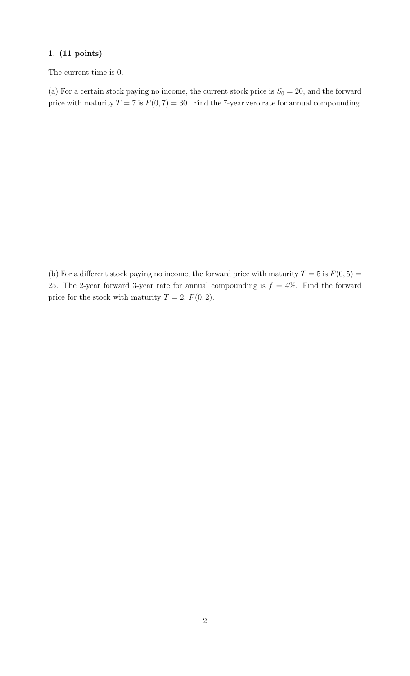The current time is 0.

(a) For a certain stock paying no income, the current stock price is  $S_0 = 20$ , and the forward price with maturity  $T = 7$  is  $F(0, 7) = 30$ . Find the 7-year zero rate for annual compounding.

(b) For a different stock paying no income, the forward price with maturity  $T = 5$  is  $F(0, 5) =$ 25. The 2-year forward 3-year rate for annual compounding is  $f = 4\%$ . Find the forward price for the stock with maturity  $T = 2$ ,  $F(0, 2)$ .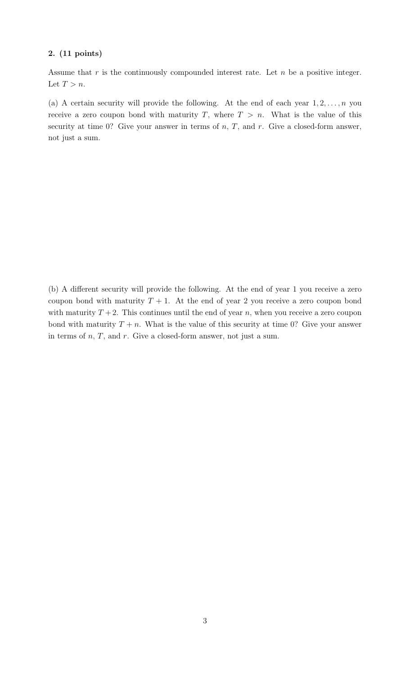Assume that  $r$  is the continuously compounded interest rate. Let  $n$  be a positive integer. Let  $T > n$ .

(a) A certain security will provide the following. At the end of each year  $1, 2, \ldots, n$  you receive a zero coupon bond with maturity T, where  $T > n$ . What is the value of this security at time 0? Give your answer in terms of  $n, T$ , and  $r$ . Give a closed-form answer, not just a sum.

(b) A different security will provide the following. At the end of year 1 you receive a zero coupon bond with maturity  $T + 1$ . At the end of year 2 you receive a zero coupon bond with maturity  $T + 2$ . This continues until the end of year n, when you receive a zero coupon bond with maturity  $T + n$ . What is the value of this security at time 0? Give your answer in terms of  $n, T$ , and  $r$ . Give a closed-form answer, not just a sum.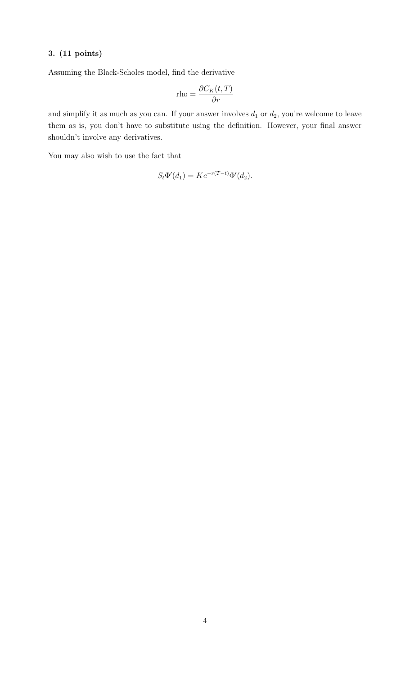Assuming the Black-Scholes model, find the derivative

$$
\text{rho} = \frac{\partial C_K(t, T)}{\partial r}
$$

and simplify it as much as you can. If your answer involves  $d_1$  or  $d_2$ , you're welcome to leave them as is, you don't have to substitute using the definition. However, your final answer shouldn't involve any derivatives.

You may also wish to use the fact that

$$
S_t \Phi'(d_1) = K e^{-r(T-t)} \Phi'(d_2).
$$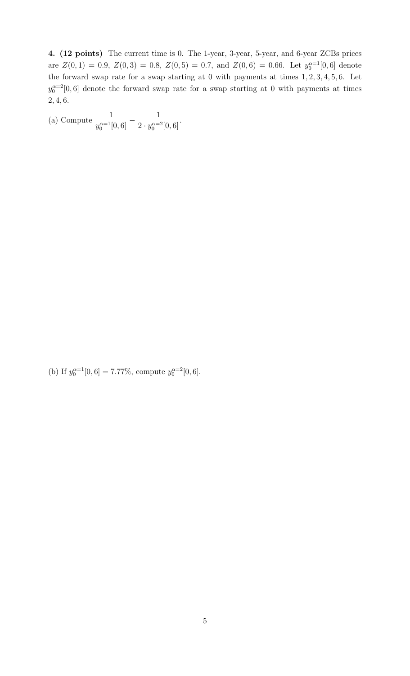4. (12 points) The current time is 0. The 1-year, 3-year, 5-year, and 6-year ZCBs prices are  $Z(0,1) = 0.9, Z(0,3) = 0.8, Z(0,5) = 0.7, \text{ and } Z(0,6) = 0.66.$  Let  $y_0^{\alpha=1}[0,6]$  denote the forward swap rate for a swap starting at 0 with payments at times 1, 2, 3, 4, 5, 6. Let  $y_0^{\alpha=2}[0,6]$  denote the forward swap rate for a swap starting at 0 with payments at times 2, 4, 6.

| (a) Compute $\frac{1}{y_0^{\alpha=1}[0,6]} - \frac{1}{2 \cdot y_0^{\alpha=2}[0,6]}$ . |  |
|---------------------------------------------------------------------------------------|--|
|                                                                                       |  |

(b) If  $y_0^{\alpha=1}[0,6] = 7.77\%$ , compute  $y_0^{\alpha=2}[0,6]$ .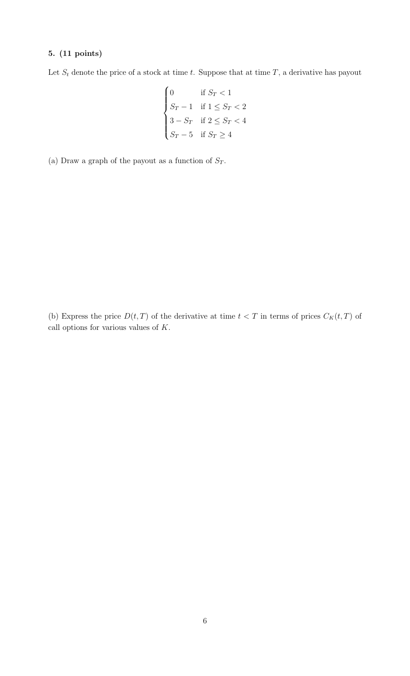Let  $S_t$  denote the price of a stock at time t. Suppose that at time T, a derivative has payout

$$
\begin{cases} 0 & \text{if } S_T < 1\\ S_T-1 & \text{if } 1\leq S_T < 2\\ 3-S_T & \text{if } 2\leq S_T < 4\\ S_T-5 & \text{if } S_T \geq 4 \end{cases}
$$

(a) Draw a graph of the payout as a function of  $S_T$ .

(b) Express the price  $D(t, T)$  of the derivative at time  $t < T$  in terms of prices  $C_K(t, T)$  of call options for various values of K.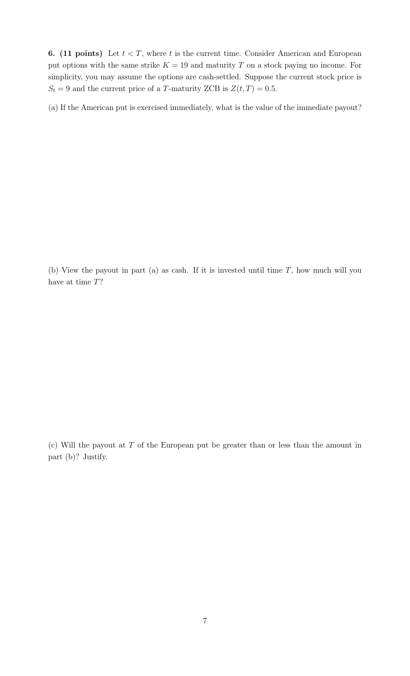**6.** (11 points) Let  $t < T$ , where t is the current time. Consider American and European put options with the same strike  $K = 19$  and maturity T on a stock paying no income. For simplicity, you may assume the options are cash-settled. Suppose the current stock price is  $S_t = 9$  and the current price of a T-maturity ZCB is  $Z(t, T) = 0.5$ .

(a) If the American put is exercised immediately, what is the value of the immediate payout?

(b) View the payout in part (a) as cash. If it is invested until time  $T$ , how much will you have at time T?

(c) Will the payout at  $T$  of the European put be greater than or less than the amount in part (b)? Justify.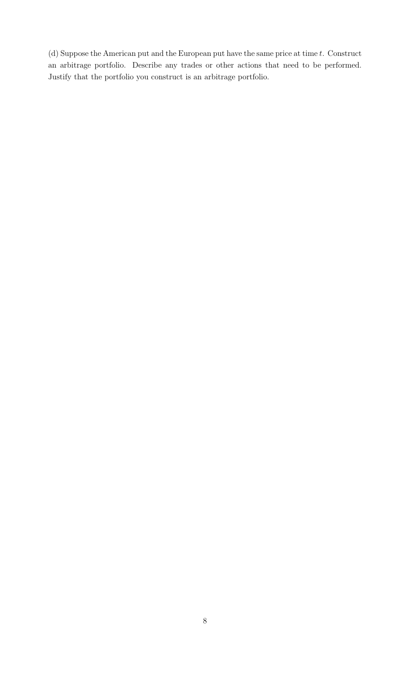(d) Suppose the American put and the European put have the same price at time  $t$ . Construct an arbitrage portfolio. Describe any trades or other actions that need to be performed. Justify that the portfolio you construct is an arbitrage portfolio.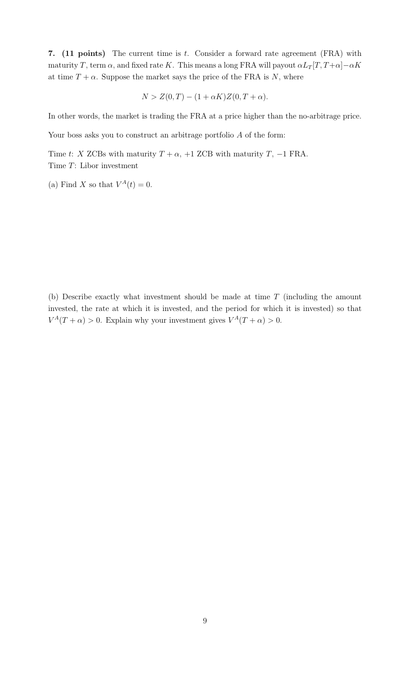7. (11 points) The current time is  $t$ . Consider a forward rate agreement (FRA) with maturity T, term  $\alpha$ , and fixed rate K. This means a long FRA will payout  $\alpha L_T[T, T+\alpha] - \alpha K$ at time  $T + \alpha$ . Suppose the market says the price of the FRA is N, where

$$
N > Z(0,T) - (1 + \alpha K)Z(0,T + \alpha).
$$

In other words, the market is trading the FRA at a price higher than the no-arbitrage price.

Your boss asks you to construct an arbitrage portfolio  $A$  of the form:

Time t: X ZCBs with maturity  $T + \alpha$ , +1 ZCB with maturity T, -1 FRA. Time T: Libor investment

(a) Find X so that  $V^A(t) = 0$ .

(b) Describe exactly what investment should be made at time T (including the amount invested, the rate at which it is invested, and the period for which it is invested) so that  $V^A(T+\alpha) > 0$ . Explain why your investment gives  $V^A(T+\alpha) > 0$ .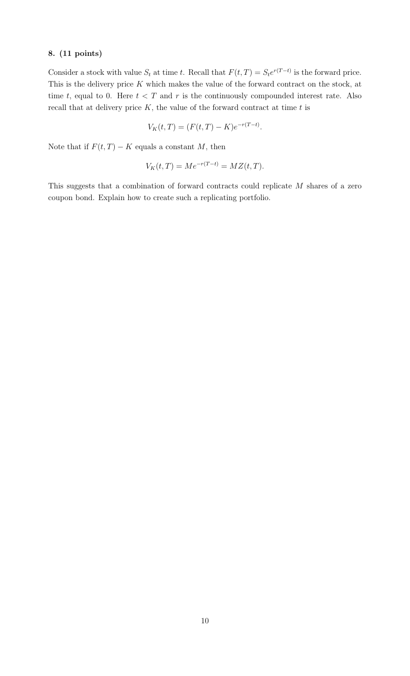Consider a stock with value  $S_t$  at time t. Recall that  $F(t,T) = S_t e^{r(T-t)}$  is the forward price. This is the delivery price  $K$  which makes the value of the forward contract on the stock, at time t, equal to 0. Here  $t < T$  and r is the continuously compounded interest rate. Also recall that at delivery price  $K$ , the value of the forward contract at time  $t$  is

$$
V_K(t,T) = (F(t,T) - K)e^{-r(T-t)}.
$$

Note that if  $F(t,T) - K$  equals a constant M, then

$$
V_K(t,T) = Me^{-r(T-t)} = MZ(t,T).
$$

This suggests that a combination of forward contracts could replicate M shares of a zero coupon bond. Explain how to create such a replicating portfolio.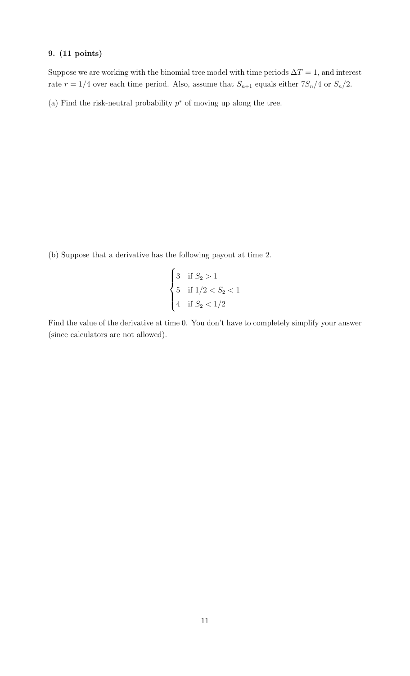Suppose we are working with the binomial tree model with time periods  $\Delta T = 1$ , and interest rate  $r = 1/4$  over each time period. Also, assume that  $S_{n+1}$  equals either  $7S_n/4$  or  $S_n/2$ .

(a) Find the risk-neutral probability  $p^*$  of moving up along the tree.

(b) Suppose that a derivative has the following payout at time 2.

$$
\begin{cases}\n3 & \text{if } S_2 > 1 \\
5 & \text{if } 1/2 < S_2 < 1 \\
4 & \text{if } S_2 < 1/2\n\end{cases}
$$

Find the value of the derivative at time 0. You don't have to completely simplify your answer (since calculators are not allowed).